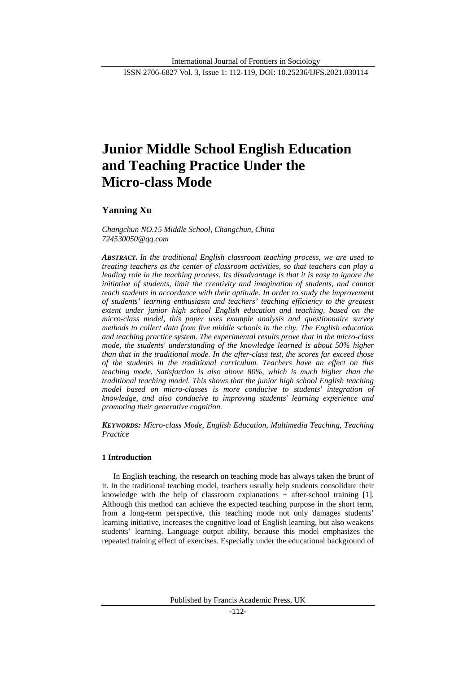ISSN 2706-6827 Vol. 3, Issue 1: 112-119, DOI: 10.25236/IJFS.2021.030114

# **Junior Middle School English Education and Teaching Practice Under the Micro-class Mode**

# **Yanning Xu**

*Changchun NO.15 Middle School, Changchun, China 724530050@qq.com*

*ABSTRACT. In the traditional English classroom teaching process, we are used to treating teachers as the center of classroom activities, so that teachers can play a leading role in the teaching process. Its disadvantage is that it is easy to ignore the initiative of students, limit the creativity and imagination of students, and cannot teach students in accordance with their aptitude. In order to study the improvement of students' learning enthusiasm and teachers' teaching efficiency to the greatest extent under junior high school English education and teaching, based on the micro-class model, this paper uses example analysis and questionnaire survey methods to collect data from five middle schools in the city. The English education and teaching practice system. The experimental results prove that in the micro-class mode, the students' understanding of the knowledge learned is about 50% higher than that in the traditional mode. In the after-class test, the scores far exceed those of the students in the traditional curriculum. Teachers have an effect on this teaching mode. Satisfaction is also above 80%, which is much higher than the traditional teaching model. This shows that the junior high school English teaching model based on micro-classes is more conducive to students' integration of knowledge, and also conducive to improving students' learning experience and promoting their generative cognition.*

*KEYWORDS: Micro-class Mode, English Education, Multimedia Teaching, Teaching Practice*

#### **1 Introduction**

In English teaching, the research on teaching mode has always taken the brunt of it. In the traditional teaching model, teachers usually help students consolidate their knowledge with the help of classroom explanations + after-school training [1]. Although this method can achieve the expected teaching purpose in the short term, from a long-term perspective, this teaching mode not only damages students' learning initiative, increases the cognitive load of English learning, but also weakens students' learning. Language output ability, because this model emphasizes the repeated training effect of exercises. Especially under the educational background of

Published by Francis Academic Press, UK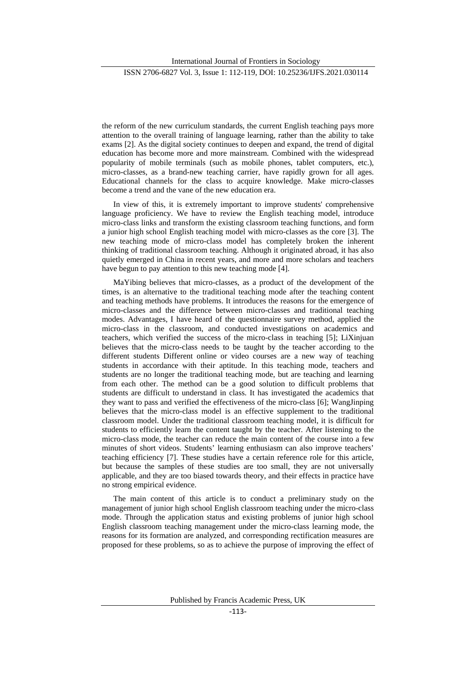International Journal of Frontiers in Sociology

the reform of the new curriculum standards, the current English teaching pays more attention to the overall training of language learning, rather than the ability to take exams [2]. As the digital society continues to deepen and expand, the trend of digital education has become more and more mainstream. Combined with the widespread popularity of mobile terminals (such as mobile phones, tablet computers, etc.), micro-classes, as a brand-new teaching carrier, have rapidly grown for all ages. Educational channels for the class to acquire knowledge. Make micro-classes become a trend and the vane of the new education era.

In view of this, it is extremely important to improve students' comprehensive language proficiency. We have to review the English teaching model, introduce micro-class links and transform the existing classroom teaching functions, and form a junior high school English teaching model with micro-classes as the core [3]. The new teaching mode of micro-class model has completely broken the inherent thinking of traditional classroom teaching. Although it originated abroad, it has also quietly emerged in China in recent years, and more and more scholars and teachers have begun to pay attention to this new teaching mode [4].

MaYibing believes that micro-classes, as a product of the development of the times, is an alternative to the traditional teaching mode after the teaching content and teaching methods have problems. It introduces the reasons for the emergence of micro-classes and the difference between micro-classes and traditional teaching modes. Advantages, I have heard of the questionnaire survey method, applied the micro-class in the classroom, and conducted investigations on academics and teachers, which verified the success of the micro-class in teaching [5]; LiXinjuan believes that the micro-class needs to be taught by the teacher according to the different students Different online or video courses are a new way of teaching students in accordance with their aptitude. In this teaching mode, teachers and students are no longer the traditional teaching mode, but are teaching and learning from each other. The method can be a good solution to difficult problems that students are difficult to understand in class. It has investigated the academics that they want to pass and verified the effectiveness of the micro-class [6]; WangJinping believes that the micro-class model is an effective supplement to the traditional classroom model. Under the traditional classroom teaching model, it is difficult for students to efficiently learn the content taught by the teacher. After listening to the micro-class mode, the teacher can reduce the main content of the course into a few minutes of short videos. Students' learning enthusiasm can also improve teachers' teaching efficiency [7]. These studies have a certain reference role for this article, but because the samples of these studies are too small, they are not universally applicable, and they are too biased towards theory, and their effects in practice have no strong empirical evidence.

The main content of this article is to conduct a preliminary study on the management of junior high school English classroom teaching under the micro-class mode. Through the application status and existing problems of junior high school English classroom teaching management under the micro-class learning mode, the reasons for its formation are analyzed, and corresponding rectification measures are proposed for these problems, so as to achieve the purpose of improving the effect of

Published by Francis Academic Press, UK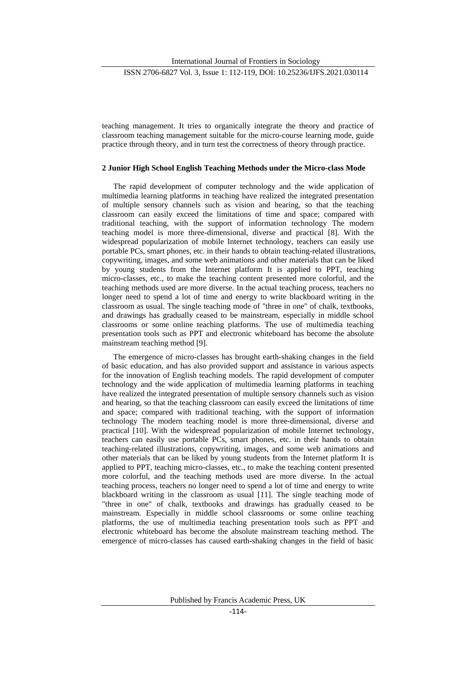International Journal of Frontiers in Sociology

teaching management. It tries to organically integrate the theory and practice of classroom teaching management suitable for the micro-course learning mode, guide practice through theory, and in turn test the correctness of theory through practice.

#### **2 Junior High School English Teaching Methods under the Micro-class Mode**

The rapid development of computer technology and the wide application of multimedia learning platforms in teaching have realized the integrated presentation of multiple sensory channels such as vision and hearing, so that the teaching classroom can easily exceed the limitations of time and space; compared with traditional teaching, with the support of information technology The modern teaching model is more three-dimensional, diverse and practical [8]. With the widespread popularization of mobile Internet technology, teachers can easily use portable PCs, smart phones, etc. in their hands to obtain teaching-related illustrations, copywriting, images, and some web animations and other materials that can be liked by young students from the Internet platform It is applied to PPT, teaching micro-classes, etc., to make the teaching content presented more colorful, and the teaching methods used are more diverse. In the actual teaching process, teachers no longer need to spend a lot of time and energy to write blackboard writing in the classroom as usual. The single teaching mode of "three in one" of chalk, textbooks, and drawings has gradually ceased to be mainstream, especially in middle school classrooms or some online teaching platforms. The use of multimedia teaching presentation tools such as PPT and electronic whiteboard has become the absolute mainstream teaching method [9].

The emergence of micro-classes has brought earth-shaking changes in the field of basic education, and has also provided support and assistance in various aspects for the innovation of English teaching models. The rapid development of computer technology and the wide application of multimedia learning platforms in teaching have realized the integrated presentation of multiple sensory channels such as vision and hearing, so that the teaching classroom can easily exceed the limitations of time and space; compared with traditional teaching, with the support of information technology The modern teaching model is more three-dimensional, diverse and practical [10]. With the widespread popularization of mobile Internet technology, teachers can easily use portable PCs, smart phones, etc. in their hands to obtain teaching-related illustrations, copywriting, images, and some web animations and other materials that can be liked by young students from the Internet platform It is applied to PPT, teaching micro-classes, etc., to make the teaching content presented more colorful, and the teaching methods used are more diverse. In the actual teaching process, teachers no longer need to spend a lot of time and energy to write blackboard writing in the classroom as usual [11]. The single teaching mode of "three in one" of chalk, textbooks and drawings has gradually ceased to be mainstream. Especially in middle school classrooms or some online teaching platforms, the use of multimedia teaching presentation tools such as PPT and electronic whiteboard has become the absolute mainstream teaching method. The emergence of micro-classes has caused earth-shaking changes in the field of basic

Published by Francis Academic Press, UK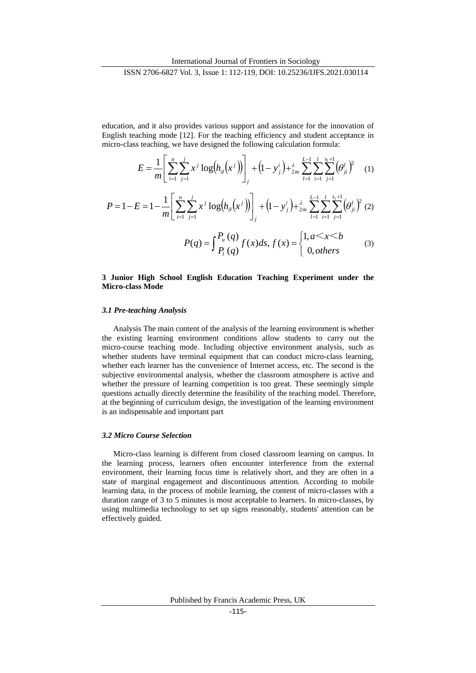education, and it also provides various support and assistance for the innovation of English teaching mode [12]. For the teaching efficiency and student acceptance in micro-class teaching, we have designed the following calculation formula:

$$
E = \frac{1}{m} \left[ \sum_{i=1}^{n} \sum_{j=1}^{j} x^{j} \log (h_{g}(x^{j})) \right]_{j} + (1 - y_{j}^{i}) + \frac{\lambda}{2m} \sum_{l=1}^{L-1} \sum_{i=1}^{l} \sum_{j=1}^{s_{l}+1} (\theta_{ji}^{l})^{2} \tag{1}
$$

 $\overline{\mathcal{L}}$ 

$$
P = 1 - E = 1 - \frac{1}{m} \left[ \sum_{i=1}^{n} \sum_{j=1}^{j} x^{j} \log(h_{g}(x^{j})) \right]_{j} + (1 - y_{j}^{i}) + \frac{\lambda}{2m} \sum_{l=1}^{L-1} \sum_{i=1}^{l} \sum_{j=1}^{s_{i}+1} (\theta_{ji}^{l})^{2} (2)
$$

$$
P(q) = \int_{P_{l}}^{P_{u}} (q) f(x) ds, f(x) = \begin{cases} 1, a \leq x \leq b \\ 0, \text{others} \end{cases}
$$
(3)

## **3 Junior High School English Education Teaching Experiment under the Micro-class Mode**

*q P*

#### *3.1 Pre-teaching Analysis*

Analysis The main content of the analysis of the learning environment is whether the existing learning environment conditions allow students to carry out the micro-course teaching mode. Including objective environment analysis, such as whether students have terminal equipment that can conduct micro-class learning, whether each learner has the convenience of Internet access, etc. The second is the subjective environmental analysis, whether the classroom atmosphere is active and whether the pressure of learning competition is too great. These seemingly simple questions actually directly determine the feasibility of the teaching model. Therefore, at the beginning of curriculum design, the investigation of the learning environment is an indispensable and important part

#### *3.2 Micro Course Selection*

Micro-class learning is different from closed classroom learning on campus. In the learning process, learners often encounter interference from the external environment, their learning focus time is relatively short, and they are often in a state of marginal engagement and discontinuous attention. According to mobile learning data, in the process of mobile learning, the content of micro-classes with a duration range of 3 to 5 minutes is most acceptable to learners. In micro-classes, by using multimedia technology to set up signs reasonably, students' attention can be effectively guided.

Published by Francis Academic Press, UK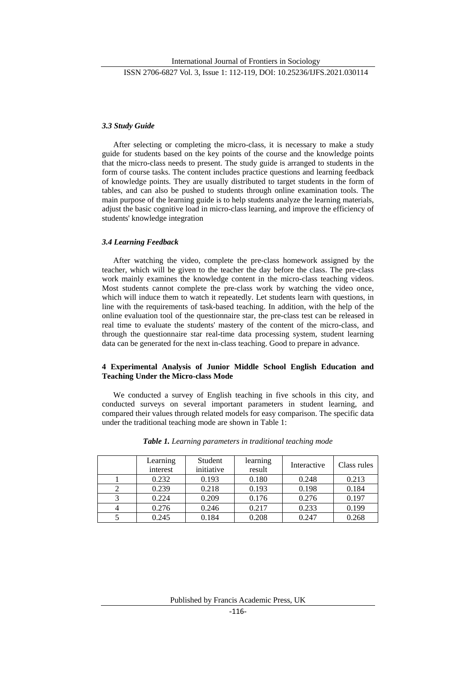# *3.3 Study Guide*

After selecting or completing the micro-class, it is necessary to make a study guide for students based on the key points of the course and the knowledge points that the micro-class needs to present. The study guide is arranged to students in the form of course tasks. The content includes practice questions and learning feedback of knowledge points. They are usually distributed to target students in the form of tables, and can also be pushed to students through online examination tools. The main purpose of the learning guide is to help students analyze the learning materials, adjust the basic cognitive load in micro-class learning, and improve the efficiency of students' knowledge integration

#### *3.4 Learning Feedback*

After watching the video, complete the pre-class homework assigned by the teacher, which will be given to the teacher the day before the class. The pre-class work mainly examines the knowledge content in the micro-class teaching videos. Most students cannot complete the pre-class work by watching the video once, which will induce them to watch it repeatedly. Let students learn with questions, in line with the requirements of task-based teaching. In addition, with the help of the online evaluation tool of the questionnaire star, the pre-class test can be released in real time to evaluate the students' mastery of the content of the micro-class, and through the questionnaire star real-time data processing system, student learning data can be generated for the next in-class teaching. Good to prepare in advance.

## **4 Experimental Analysis of Junior Middle School English Education and Teaching Under the Micro-class Mode**

We conducted a survey of English teaching in five schools in this city, and conducted surveys on several important parameters in student learning, and compared their values through related models for easy comparison. The specific data under the traditional teaching mode are shown in Table 1:

| Learning<br>interest | Student<br>initiative | learning<br>result | Interactive | Class rules |
|----------------------|-----------------------|--------------------|-------------|-------------|
| 0.232                | 0.193                 | 0.180              | 0.248       | 0.213       |
| 0.239                | 0.218                 | 0.193              | 0.198       | 0.184       |
| 0.224                | 0.209                 | 0.176              | 0.276       | 0.197       |
| 0.276                | 0.246                 | 0.217              | 0.233       | 0.199       |
| 0.245                | 0.184                 | 0.208              | 0.247       | 0.268       |

*Table 1. Learning parameters in traditional teaching mode*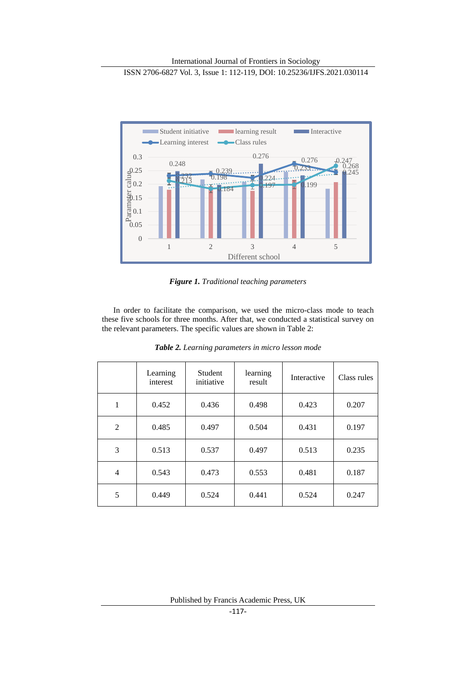

*Figure 1. Traditional teaching parameters*

In order to facilitate the comparison, we used the micro-class mode to teach these five schools for three months. After that, we conducted a statistical survey on the relevant parameters. The specific values are shown in Table 2:

|                | Learning<br>interest | <b>Student</b><br>initiative | learning<br>result | Interactive | Class rules |
|----------------|----------------------|------------------------------|--------------------|-------------|-------------|
| 1              | 0.452                | 0.436                        | 0.498              | 0.423       | 0.207       |
| $\overline{2}$ | 0.485                | 0.497                        | 0.504              | 0.431       | 0.197       |
| 3              | 0.513                | 0.537                        | 0.497              | 0.513       | 0.235       |
| 4              | 0.543                | 0.473                        | 0.553              | 0.481       | 0.187       |
| 5              | 0.449                | 0.524                        | 0.441              | 0.524       | 0.247       |

*Table 2. Learning parameters in micro lesson mode*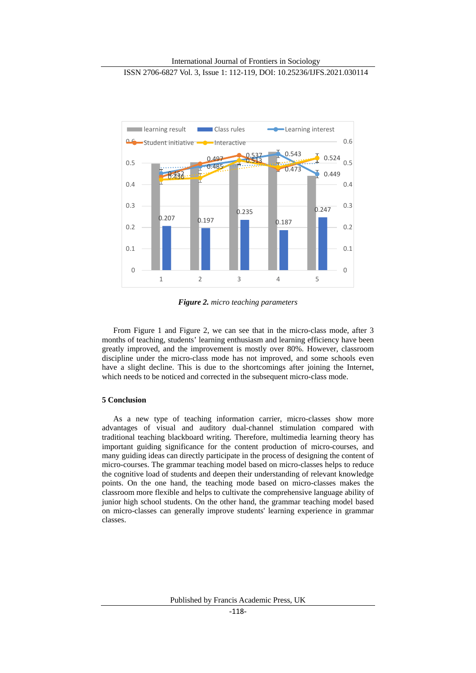

*Figure 2. micro teaching parameters*

From Figure 1 and Figure 2, we can see that in the micro-class mode, after 3 months of teaching, students' learning enthusiasm and learning efficiency have been greatly improved, and the improvement is mostly over 80%. However, classroom discipline under the micro-class mode has not improved, and some schools even have a slight decline. This is due to the shortcomings after joining the Internet, which needs to be noticed and corrected in the subsequent micro-class mode.

# **5 Conclusion**

As a new type of teaching information carrier, micro-classes show more advantages of visual and auditory dual-channel stimulation compared with traditional teaching blackboard writing. Therefore, multimedia learning theory has important guiding significance for the content production of micro-courses, and many guiding ideas can directly participate in the process of designing the content of micro-courses. The grammar teaching model based on micro-classes helps to reduce the cognitive load of students and deepen their understanding of relevant knowledge points. On the one hand, the teaching mode based on micro-classes makes the classroom more flexible and helps to cultivate the comprehensive language ability of junior high school students. On the other hand, the grammar teaching model based on micro-classes can generally improve students' learning experience in grammar classes.